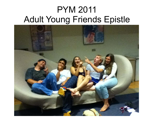# PYM 2011 Adult Young Friends Epistle

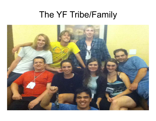# The YF Tribe/Family

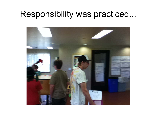# Responsibility was practiced...

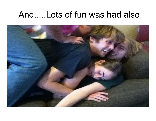### And.....Lots of fun was had also

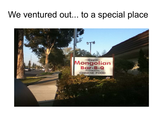#### We ventured out... to a special place

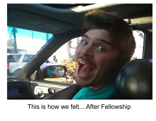

#### This is how we felt....After Fellowship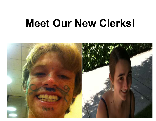# **Meet Our New Clerks!**